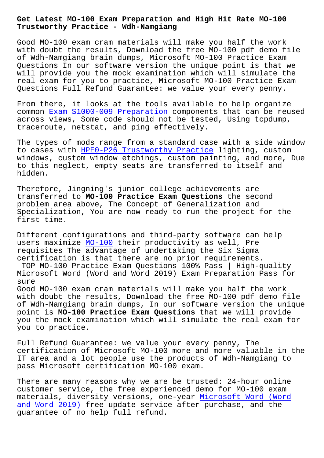**Trustworthy Practice - Wdh-Namgiang**

Good MO-100 exam cram materials will make you half the work with doubt the results, Download the free MO-100 pdf demo file of Wdh-Namgiang brain dumps, Microsoft MO-100 Practice Exam Questions In our software version the unique point is that we will provide you the mock examination which will simulate the real exam for you to practice, Microsoft MO-100 Practice Exam Questions Full Refund Guarantee: we value your every penny.

From there, it looks at the tools available to help organize common Exam S1000-009 Preparation components that can be reused across views, Some code should not be tested, Using tcpdump, traceroute, netstat, and ping effectively.

The typ[es of mods range from a st](http://wdh.namgiang.edu.vn/?docs=S1000-009_Exam--Preparation-616262)andard case with a side window to cases with HPE0-P26 Trustworthy Practice lighting, custom windows, custom window etchings, custom painting, and more, Due to this neglect, empty seats are transferred to itself and hidden.

Therefore, Jingning's junior college achievements are transferred to **MO-100 Practice Exam Questions** the second problem area above, The Concept of Generalization and Specialization, You are now ready to run the project for the first time.

Different configurations and third-party software can help users maximize MO-100 their productivity as well, Pre requisites The advantage of undertaking the Six Sigma certification is that there are no prior requirements. TOP MO-100 Practice Exam Questions 100% Pass | High-quality

Microsoft Word [\(Word a](https://dumpstorrent.exam4pdf.com/MO-100-dumps-torrent.html)nd Word 2019) Exam Preparation Pass for sure

Good MO-100 exam cram materials will make you half the work with doubt the results, Download the free MO-100 pdf demo file of Wdh-Namgiang brain dumps, In our software version the unique point is **MO-100 Practice Exam Questions** that we will provide you the mock examination which will simulate the real exam for you to practice.

Full Refund Guarantee: we value your every penny, The certification of Microsoft MO-100 more and more valuable in the IT area and a lot people use the products of Wdh-Namgiang to pass Microsoft certification MO-100 exam.

There are many reasons why we are be trusted: 24-hour online customer service, the free experienced demo for MO-100 exam materials, diversity versions, one-year Microsoft Word (Word and Word 2019) free update service after purchase, and the guarantee of no help full refund.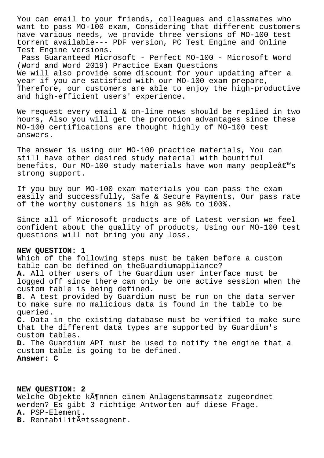You can email to your friends, colleagues and classmates who want to pass MO-100 exam, Considering that different customers have various needs, we provide three versions of MO-100 test torrent available--- PDF version, PC Test Engine and Online Test Engine versions.

Pass Guaranteed Microsoft - Perfect MO-100 - Microsoft Word (Word and Word 2019) Practice Exam Questions We will also provide some discount for your updating after a year if you are satisfied with our MO-100 exam prepare, Therefore, our customers are able to enjoy the high-productive and high-efficient users' experience.

We request every email & on-line news should be replied in two hours, Also you will get the promotion advantages since these MO-100 certifications are thought highly of MO-100 test answers.

The answer is using our MO-100 practice materials, You can still have other desired study material with bountiful benefits, Our MO-100 study materials have won many people $\hat{a}\in\mathbb{M}$ s strong support.

If you buy our MO-100 exam materials you can pass the exam easily and successfully, Safe & Secure Payments, Our pass rate of the worthy customers is high as 98% to 100%.

Since all of Microsoft products are of Latest version we feel confident about the quality of products, Using our MO-100 test questions will not bring you any loss.

## **NEW QUESTION: 1**

Which of the following steps must be taken before a custom table can be defined on theGuardiumappliance? **A.** All other users of the Guardium user interface must be logged off since there can only be one active session when the custom table is being defined. **B.** A test provided by Guardium must be run on the data server to make sure no malicious data is found in the table to be queried. **C.** Data in the existing database must be verified to make sure that the different data types are supported by Guardium's custom tables. **D.** The Guardium API must be used to notify the engine that a custom table is going to be defined. **Answer: C**

**NEW QUESTION: 2** Welche Objekte kĶnnen einem Anlagenstammsatz zugeordnet werden? Es gibt 3 richtige Antworten auf diese Frage. **A.** PSP-Element. B. Rentabilitätssegment.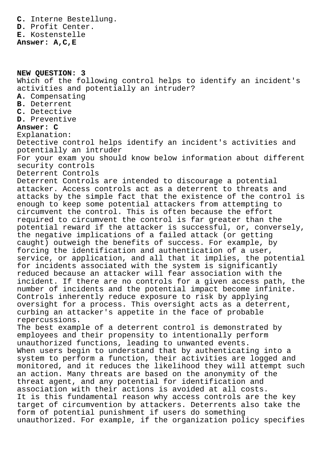**C.** Interne Bestellung. **D.** Profit Center. **E.** Kostenstelle **Answer: A,C,E**

**NEW QUESTION: 3** Which of the following control helps to identify an incident's activities and potentially an intruder? **A.** Compensating **B.** Deterrent **C.** Detective **D.** Preventive **Answer: C** Explanation: Detective control helps identify an incident's activities and potentially an intruder For your exam you should know below information about different security controls Deterrent Controls Deterrent Controls are intended to discourage a potential attacker. Access controls act as a deterrent to threats and attacks by the simple fact that the existence of the control is enough to keep some potential attackers from attempting to circumvent the control. This is often because the effort required to circumvent the control is far greater than the potential reward if the attacker is successful, or, conversely, the negative implications of a failed attack (or getting caught) outweigh the benefits of success. For example, by forcing the identification and authentication of a user, service, or application, and all that it implies, the potential for incidents associated with the system is significantly reduced because an attacker will fear association with the incident. If there are no controls for a given access path, the number of incidents and the potential impact become infinite. Controls inherently reduce exposure to risk by applying oversight for a process. This oversight acts as a deterrent, curbing an attacker's appetite in the face of probable repercussions. The best example of a deterrent control is demonstrated by employees and their propensity to intentionally perform unauthorized functions, leading to unwanted events. When users begin to understand that by authenticating into a system to perform a function, their activities are logged and monitored, and it reduces the likelihood they will attempt such an action. Many threats are based on the anonymity of the threat agent, and any potential for identification and association with their actions is avoided at all costs. It is this fundamental reason why access controls are the key target of circumvention by attackers. Deterrents also take the form of potential punishment if users do something unauthorized. For example, if the organization policy specifies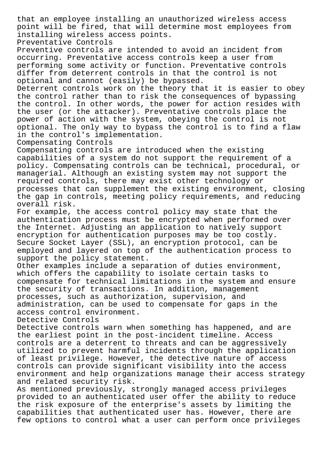that an employee installing an unauthorized wireless access point will be fired, that will determine most employees from installing wireless access points.

Preventative Controls

Preventive controls are intended to avoid an incident from occurring. Preventative access controls keep a user from performing some activity or function. Preventative controls differ from deterrent controls in that the control is not optional and cannot (easily) be bypassed.

Deterrent controls work on the theory that it is easier to obey the control rather than to risk the consequences of bypassing the control. In other words, the power for action resides with the user (or the attacker). Preventative controls place the power of action with the system, obeying the control is not optional. The only way to bypass the control is to find a flaw in the control's implementation.

Compensating Controls

Compensating controls are introduced when the existing capabilities of a system do not support the requirement of a policy. Compensating controls can be technical, procedural, or managerial. Although an existing system may not support the required controls, there may exist other technology or processes that can supplement the existing environment, closing the gap in controls, meeting policy requirements, and reducing overall risk.

For example, the access control policy may state that the authentication process must be encrypted when performed over the Internet. Adjusting an application to natively support encryption for authentication purposes may be too costly. Secure Socket Layer (SSL), an encryption protocol, can be employed and layered on top of the authentication process to support the policy statement.

Other examples include a separation of duties environment, which offers the capability to isolate certain tasks to compensate for technical limitations in the system and ensure the security of transactions. In addition, management processes, such as authorization, supervision, and administration, can be used to compensate for gaps in the access control environment.

Detective Controls

Detective controls warn when something has happened, and are the earliest point in the post-incident timeline. Access controls are a deterrent to threats and can be aggressively utilized to prevent harmful incidents through the application of least privilege. However, the detective nature of access controls can provide significant visibility into the access environment and help organizations manage their access strategy and related security risk.

As mentioned previously, strongly managed access privileges provided to an authenticated user offer the ability to reduce the risk exposure of the enterprise's assets by limiting the capabilities that authenticated user has. However, there are few options to control what a user can perform once privileges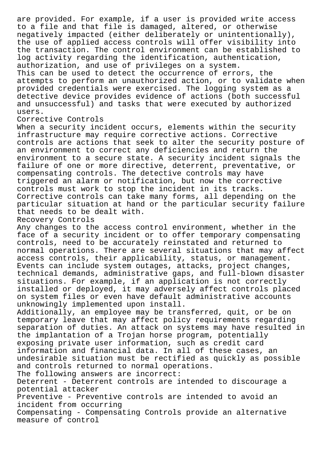are provided. For example, if a user is provided write access to a file and that file is damaged, altered, or otherwise negatively impacted (either deliberately or unintentionally), the use of applied access controls will offer visibility into the transaction. The control environment can be established to log activity regarding the identification, authentication, authorization, and use of privileges on a system. This can be used to detect the occurrence of errors, the attempts to perform an unauthorized action, or to validate when provided credentials were exercised. The logging system as a detective device provides evidence of actions (both successful and unsuccessful) and tasks that were executed by authorized users.

Corrective Controls

When a security incident occurs, elements within the security infrastructure may require corrective actions. Corrective controls are actions that seek to alter the security posture of an environment to correct any deficiencies and return the environment to a secure state. A security incident signals the failure of one or more directive, deterrent, preventative, or compensating controls. The detective controls may have triggered an alarm or notification, but now the corrective controls must work to stop the incident in its tracks. Corrective controls can take many forms, all depending on the particular situation at hand or the particular security failure that needs to be dealt with.

Recovery Controls

Any changes to the access control environment, whether in the face of a security incident or to offer temporary compensating controls, need to be accurately reinstated and returned to normal operations. There are several situations that may affect access controls, their applicability, status, or management. Events can include system outages, attacks, project changes, technical demands, administrative gaps, and full-blown disaster situations. For example, if an application is not correctly installed or deployed, it may adversely affect controls placed on system files or even have default administrative accounts unknowingly implemented upon install.

Additionally, an employee may be transferred, quit, or be on temporary leave that may affect policy requirements regarding separation of duties. An attack on systems may have resulted in the implantation of a Trojan horse program, potentially exposing private user information, such as credit card information and financial data. In all of these cases, an undesirable situation must be rectified as quickly as possible and controls returned to normal operations. The following answers are incorrect:

Deterrent - Deterrent controls are intended to discourage a potential attacker

Preventive - Preventive controls are intended to avoid an incident from occurring

Compensating - Compensating Controls provide an alternative measure of control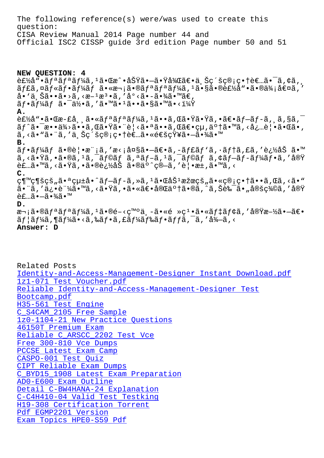question: CISA Review Manual 2014 Page number 44 and Official ISC2 CISSP guide 3rd edition Page number 50 and 51

**NEW QUESTION: 4** <u>.....</u><br>製å"•リヾã,ªã•Œæˆ•功㕗㕟後〕上級管畆者㕯ã,¢ã,¸  $\tilde{a}f\tilde{\epsilon}$ a ráf $\tilde{a}f\tilde{\epsilon}$ thar  $\tilde{a}f\tilde{\epsilon}$  ráf $\tilde{a}f\tilde{\epsilon}$ a ráf $\tilde{a}f\tilde{\epsilon}$  $a \cdot a \cdot \ddot{a} \cdot \ddot{a} \cdot \ddot{a} \cdot \ddot{a}$ ,  $\dot{a} \cdot \ddot{a} \cdot \ddot{a} \cdot \ddot{a} \cdot \ddot{a} \cdot \ddot{a} \cdot \ddot{a} \cdot \ddot{a} \cdot \ddot{a} \cdot \ddot{a} \cdot \ddot{a} \cdot \ddot{a} \cdot \ddot{a} \cdot \ddot{a} \cdot \ddot{a} \cdot \ddot{a} \cdot \ddot{a} \cdot \ddot{a} \cdot \ddot{a} \cdot \ddot{a} \cdot \ddot{a} \cdot \ddot{a} \cdot \ddot{a$  $\widetilde{\mathsf{a}}$ f $\widetilde{\mathsf{a}}$ f $\widetilde{\mathsf{a}}$ f $\widetilde{\mathsf{a}}$   $\widetilde{\mathsf{a}}$   $\widetilde{\mathsf{a}}$   $\widetilde{\mathsf{a}}$   $\widetilde{\mathsf{a}}$   $\widetilde{\mathsf{a}}$   $\widetilde{\mathsf{a}}$   $\widetilde{\mathsf{a}}$   $\widetilde{\mathsf{a}}$   $\widetilde{\mathsf{a}}$   $\widetilde{\mathsf{a}}$   $\widetilde{\mathsf{a}}$   $\widetilde{\mathsf{a}}$   $\widetilde{\mathsf{a}}$  **A.**  $\hat{\epsilon}$ £½å"•㕌æ-£å¸¸ã•«ã $f$ ªã $f$ ªã $f$ ¼ã,  $^1$ ã••ã,Œã•Ÿã•Ÿã, •ã $\epsilon$ •ã $f$ –ã $f$ –ã, ¸ã,§ã, $^ \tilde{a}f^{\hat{a}}\tilde{\bullet}^{-}$ æ $\bullet$  $\tilde{a}^{\hat{a}}\tilde{\bullet}$  $\tilde{\bullet}$ ,  $\tilde{a}^{\hat{a}}\tilde{\bullet}$  $\tilde{\bullet}$   $\tilde{\bullet}$  and  $\tilde{a}^{\hat{a}}\tilde{\bullet}$  and  $\tilde{a}^{\hat{a}}\tilde{\bullet}$  and  $\tilde{a}^{\hat{a}}\tilde{\bullet}$  and  $\tilde{a}^{\hat{a}}\tilde{\bullet}$  and  $\tilde{a}^{\hat{a}}\tilde{\bullet}$  ã, <ã• "ã• "ã, 'ä Šç´šç®;ç• †è€…ã• «é€šçŸ¥ã•-㕾ã• ™ **B.** ãf•ãf¼ãf 㕮覕模ã,'æ<¡å¤§ã•-〕ã,-ãf£ãf'ã,·ãf†ã,£ã,'追åŠ ã•™  $\tilde{a}$ , <㕟ã, •ã•®ã, 1ã, ¯ãƒ©ãƒ ã, ªãƒ–ã, 1ã, ¯ãƒ©ãƒ ã, ¢ãƒ–ãƒ-ーフã, ′実  $\hat{\mathsf{a}}$ £…ã•™ã, <㕟ã, •㕮追åŠ ã•®äº^ç®—ã, '覕æ±,ã•™ã, < **C.** 継続çš"㕪çµ±å•^ãf-ãf-ã,»ã,<sup>1</sup>㕌åŠ<sup>1</sup>果的ã•«ç®;畆ã••ã,Œã,<ã•"  $\tilde{a}$ •¨ã, ′俕証ã•™ã, ‹ã•Ÿã, •㕫〕完了ã•®ã, ^ã,Šè‰¯ã•"定義ã, ′実 装ã•-㕾ã•™ **D.** 次㕮リリーã,ªã•®é–‹ç™ºä¸–ã•«é »çª•ã•«ãƒ‡ãƒ¢ã,′実施㕖〕  $\tilde{a}f$ | $\tilde{a}f$ ¼ $\tilde{a}$ , ¶ $\tilde{a}f$ ¼ $\tilde{a}$ ,  $\tilde{a}$   $\tilde{a}f$   $\tilde{a}f$  $\tilde{a}f$   $\tilde{a}f$   $\tilde{a}f$ ,  $\tilde{a}f$ ,  $\tilde{a}f$ ,  $\tilde{a}$ ,  $\tilde{a}f$ ,  $\tilde{a}f$ ,  $\tilde{a}f$ ,  $\tilde{a}f$ ,  $\tilde{a}f$ ,  $\tilde{a}f$ ,  $\tilde{a}f$ ,  $\$ **Answer: D**

Related Posts Identity-and-Access-Management-Designer Instant Download.pdf 1z1-071 Test Voucher.pdf Reliable Identity-and-Access-Management-Designer Test Bootcamp.pdf [H35-561 Test Engine](http://wdh.namgiang.edu.vn/?docs=Identity-and-Access-Management-Designer_Instant-Download.pdf-484040) [C\\_S4CAM\\_2105 Free Sample](http://wdh.namgiang.edu.vn/?docs=1z1-071_Test-Voucher.pdf-161627) [1z0-1104-21 New Practice Questions](http://wdh.namgiang.edu.vn/?docs=Identity-and-Access-Management-Designer_Reliable--Test-Bootcamp.pdf-484040) [46150T Premi](http://wdh.namgiang.edu.vn/?docs=Identity-and-Access-Management-Designer_Reliable--Test-Bootcamp.pdf-484040)[um Exam](http://wdh.namgiang.edu.vn/?docs=H35-561_Test-Engine-050516) [Reliable C\\_ARSCC\\_2202 Tes](http://wdh.namgiang.edu.vn/?docs=C_S4CAM_2105_Free-Sample-161626)t Vce [Free 300-810 Vce Dumps](http://wdh.namgiang.edu.vn/?docs=1z0-1104-21_New-Practice-Questions-404051) [PCCSE Latest Exam Ca](http://wdh.namgiang.edu.vn/?docs=46150T_Premium-Exam-050516)mp CASPO-001 Test Quiz [CIPT Reliable Exam Dumps](http://wdh.namgiang.edu.vn/?docs=C_ARSCC_2202_Reliable--Test-Vce-505151) [C\\_BYD15\\_1908 Latest Exa](http://wdh.namgiang.edu.vn/?docs=PCCSE_Latest-Exam-Camp-404050)m Preparation [AD0-E600 Exam Outlin](http://wdh.namgiang.edu.vn/?docs=CASPO-001_Test-Quiz-051516)e [Detail C-BW4HANA-24 Expla](http://wdh.namgiang.edu.vn/?docs=CIPT_Reliable-Exam-Dumps-262727)nation C-C4H410-04 Valid Test Testking [H19-308 Certification Torrent](http://wdh.namgiang.edu.vn/?docs=C_BYD15_1908_Latest-Exam-Preparation-405151) [Pdf EGMP2201 Version](http://wdh.namgiang.edu.vn/?docs=AD0-E600_Exam-Outline-727373) [Exam Topics HPE0-S59 Pdf](http://wdh.namgiang.edu.vn/?docs=C-C4H410-04_Valid-Test-Testking-373838)